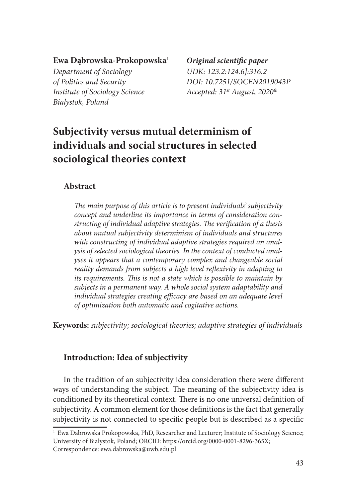#### **Ewa Dąbrowska-Prokopowska**<sup>1</sup> *Original scientific paper*

*Department of Sociology UDK: 123.2:124.6]:316.2 Institute of Sociology Science Accepted: 31st August, 2020th Bialystok, Poland*

# *of Politics and Security DOI: 10.7251/SOCEN2019043P*

# **Subjectivity versus mutual determinism of individuals and social structures in selected sociological theories context**

### **Abstract**

*The main purpose of this article is to present individuals' subjectivity concept and underline its importance in terms of consideration constructing of individual adaptive strategies. The verification of a thesis about mutual subjectivity determinism of individuals and structures with constructing of individual adaptive strategies required an analysis of selected sociological theories. In the context of conducted analyses it appears that a contemporary complex and changeable social reality demands from subjects a high level reflexivity in adapting to its requirements. This is not a state which is possible to maintain by subjects in a permanent way. A whole social system adaptability and individual strategies creating efficacy are based on an adequate level of optimization both automatic and cogitative actions.* 

**Keywords:** *subjectivity; sociological theories; adaptive strategies of individuals*

#### **Introduction: Idea of subjectivity**

In the tradition of an subjectivity idea consideration there were different ways of understanding the subject. The meaning of the subjectivity idea is conditioned by its theoretical context. There is no one universal definition of subjectivity. A common element for those definitions is the fact that generally subjectivity is not connected to specific people but is described as a specific

<sup>1</sup> Ewa Dabrowska Prokopowska, PhD, Researcher and Lecturer; Institute of Sociology Science; University of Bialystok, Poland; ORCID: https://orcid.org/0000-0001-8296-365X; Correspondence: ewa.dabrowska@uwb.edu.pl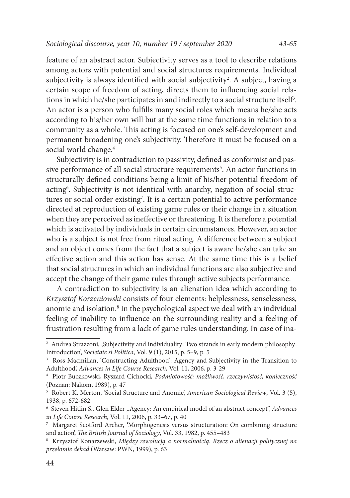feature of an abstract actor. Subjectivity serves as a tool to describe relations among actors with potential and social structures requirements. Individual subjectivity is always identified with social subjectivity<sup>2</sup>. A subject, having a certain scope of freedom of acting, directs them to influencing social relations in which he/she participates in and indirectly to a social structure itself $\cdot$ . An actor is a person who fulfills many social roles which means he/she acts according to his/her own will but at the same time functions in relation to a community as a whole. This acting is focused on one's self-development and permanent broadening one's subjectivity. Therefore it must be focused on a social world change.<sup>4</sup>

Subjectivity is in contradiction to passivity, defined as conformist and passive performance of all social structure requirements<sup>5</sup>. An actor functions in structurally defined conditions being a limit of his/her potential freedom of acting6 . Subjectivity is not identical with anarchy, negation of social structures or social order existing<sup>7</sup>. It is a certain potential to active performance directed at reproduction of existing game rules or their change in a situation when they are perceived as ineffective or threatening. It is therefore a potential which is activated by individuals in certain circumstances. However, an actor who is a subject is not free from ritual acting. A difference between a subject and an object comes from the fact that a subject is aware he/she can take an effective action and this action has sense. At the same time this is a belief that social structures in which an individual functions are also subjective and accept the change of their game rules through active subjects performance.

A contradiction to subjectivity is an alienation idea which according to *Krzysztof Korzeniowski* consists of four elements: helplessness, senselessness, anomie and isolation.<sup>8</sup> In the psychological aspect we deal with an individual feeling of inability to influence on the surrounding reality and a feeling of frustration resulting from a lack of game rules understanding. In case of ina-

<sup>&</sup>lt;sup>2</sup> Andrea Strazzoni, ,Subjectivity and individuality: Two strands in early modern philosophy: Introduction', *Societate si Politica*, Vol. 9 (1), 2015, p. 5–9, p. 5

<sup>3</sup> Ross Macmillan, 'Constructing Adulthood': Agency and Subjectivity in the Transition to Adulthood', *Advances in Life Course Research,* Vol. 11, 2006, p. 3-29

<sup>4</sup> Piotr Buczkowski, Ryszard Cichocki*, Podmiotowość: możliwość, rzeczywistość, konieczność* (Poznan: Nakom, 1989), p. 47

<sup>5</sup> Robert K. Merton, 'Social Structure and Anomie', *American Sociological Review*, Vol. 3 (5), 1938, p. 672-682

<sup>&</sup>lt;sup>6</sup> Steven Hitlin S., Glen Elder "Agency: An empirical model of an abstract concept", Advances *in Life Course Research*, Vol. 11, 2006, p. 33–67, p. 40

<sup>7</sup> Margaret Scotford Archer, 'Morphogenesis versus structuration: On combining structure and action', *The British Journal of Sociology*, Vol. 33, 1982, p. 455–483

<sup>8</sup> Krzysztof Konarzewski, *Między rewolucją a normalnością. Rzecz o alienacji politycznej na przełomie dekad* (Warsaw: PWN, 1999), p. 63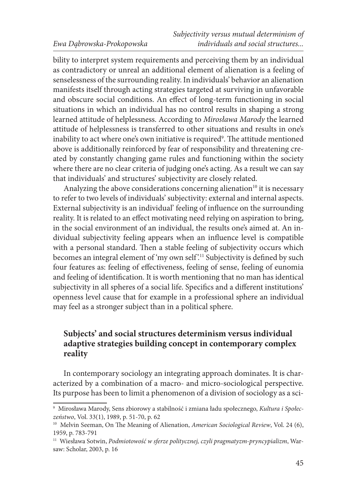bility to interpret system requirements and perceiving them by an individual as contradictory or unreal an additional element of alienation is a feeling of senselessness of the surrounding reality. In individuals' behavior an alienation manifests itself through acting strategies targeted at surviving in unfavorable and obscure social conditions. An effect of long-term functioning in social situations in which an individual has no control results in shaping a strong learned attitude of helplessness. According to *Mirosława Marody* the learned attitude of helplessness is transferred to other situations and results in one's inability to act where one's own initiative is required9 . The attitude mentioned above is additionally reinforced by fear of responsibility and threatening created by constantly changing game rules and functioning within the society where there are no clear criteria of judging one's acting. As a result we can say that individuals' and structures' subjectivity are closely related.

Analyzing the above considerations concerning alienation<sup>10</sup> it is necessary to refer to two levels of individuals' subjectivity: external and internal aspects. External subjectivity is an individual' feeling of influence on the surrounding reality. It is related to an effect motivating need relying on aspiration to bring, in the social environment of an individual, the results one's aimed at. An individual subjectivity feeling appears when an influence level is compatible with a personal standard. Then a stable feeling of subjectivity occurs which becomes an integral element of 'my own self'.<sup>11</sup> Subjectivity is defined by such four features as: feeling of effectiveness, feeling of sense, feeling of eunomia and feeling of identification. It is worth mentioning that no man has identical subjectivity in all spheres of a social life. Specifics and a different institutions' openness level cause that for example in a professional sphere an individual may feel as a stronger subject than in a political sphere.

### **Subjects' and social structures determinism versus individual adaptive strategies building concept in contemporary complex reality**

In contemporary sociology an integrating approach dominates. It is characterized by a combination of a macro- and micro-sociological perspective. Its purpose has been to limit a phenomenon of a division of sociology as a sci-

<sup>9</sup> Mirosława Marody, Sens zbiorowy a stabilność i zmiana ładu społecznego, *Kultura i Społeczeństwo*, Vol. 33(1), 1989, p. 51-70, p. 62

<sup>&</sup>lt;sup>10</sup> Melvin Seeman, On The Meaning of Alienation, *American Sociological Review*, Vol. 24 (6), 1959, p. 783-791

<sup>11</sup> Wiesława Sotwin, *Podmiotowość w sferze politycznej, czyli pragmatyzm-pryncypializm*, Warsaw: Scholar, 2003, p. 16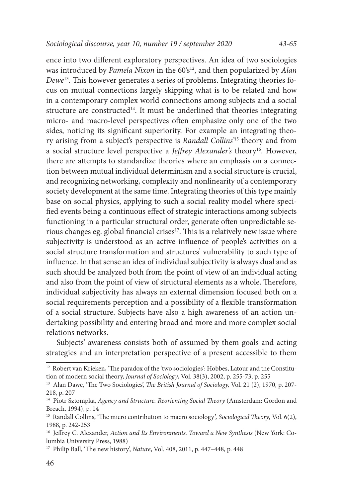ence into two different exploratory perspectives. An idea of two sociologies was introduced by *Pamela Nixon* in the 60's<sup>12</sup>, and then popularized by *Alan Dewe*13. This however generates a series of problems. Integrating theories focus on mutual connections largely skipping what is to be related and how in a contemporary complex world connections among subjects and a social structure are constructed<sup>14</sup>. It must be underlined that theories integrating micro- and macro-level perspectives often emphasize only one of the two sides, noticing its significant superiority. For example an integrating theory arising from a subject's perspective is *Randall Collins'*15 theory and from a social structure level perspective a *Jeffrey Alexander's* theory<sup>16</sup>. However, there are attempts to standardize theories where an emphasis on a connection between mutual individual determinism and a social structure is crucial, and recognizing networking, complexity and nonlinearity of a contemporary society development at the same time. Integrating theories of this type mainly base on social physics, applying to such a social reality model where specified events being a continuous effect of strategic interactions among subjects functioning in a particular structural order, generate often unpredictable serious changes eg. global financial crises<sup>17</sup>. This is a relatively new issue where subjectivity is understood as an active influence of people's activities on a social structure transformation and structures' vulnerability to such type of influence. In that sense an idea of individual subjectivity is always dual and as such should be analyzed both from the point of view of an individual acting and also from the point of view of structural elements as a whole. Therefore, individual subjectivity has always an external dimension focused both on a social requirements perception and a possibility of a flexible transformation of a social structure. Subjects have also a high awareness of an action undertaking possibility and entering broad and more and more complex social relations networks.

Subjects' awareness consists both of assumed by them goals and acting strategies and an interpretation perspective of a present accessible to them

<sup>&</sup>lt;sup>12</sup> Robert van Krieken, 'The paradox of the 'two sociologies': Hobbes, Latour and the Constitution of modern social theory, *Journal of Sociology*, Vol. 38(3), 2002, p. 255‐73, p. 255

<sup>13</sup> Alan Dawe, 'The Two Sociologies', *The British Journal of Sociology,* Vol. 21 (2), 1970, p. 207- 218, p. 207

<sup>14</sup> Piotr Sztompka, *Agency and Structure. Reorienting Social Theory* (Amsterdam: Gordon and Breach, 1994), p. 14

<sup>15</sup> Randall Collins, 'The micro contribution to macro sociology*', Sociological Theory*, Vol. 6(2), 1988, p. 242-253

<sup>16</sup> Jeffrey C. Alexander, *Action and Its Environments. Toward a New Synthesis* (New York: Columbia University Press, 1988)

<sup>17</sup> Philip Ball, 'The new history', *Nature*, Vol. 408, 2011, p. 447–448, p. 448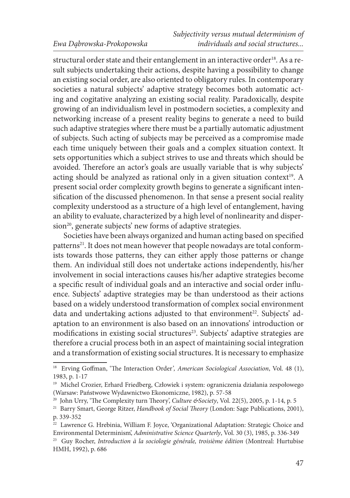structural order state and their entanglement in an interactive order<sup>18</sup>. As a result subjects undertaking their actions, despite having a possibility to change an existing social order, are also oriented to obligatory rules. In contemporary societies a natural subjects' adaptive strategy becomes both automatic acting and cogitative analyzing an existing social reality. Paradoxically, despite growing of an individualism level in postmodern societies, a complexity and networking increase of a present reality begins to generate a need to build such adaptive strategies where there must be a partially automatic adjustment of subjects. Such acting of subjects may be perceived as a compromise made each time uniquely between their goals and a complex situation context. It sets opportunities which a subject strives to use and threats which should be avoided. Therefore an actor's goals are usually variable that is why subjects' acting should be analyzed as rational only in a given situation context<sup>19</sup>. A present social order complexity growth begins to generate a significant intensification of the discussed phenomenon. In that sense a present social reality complexity understood as a structure of a high level of entanglement, having an ability to evaluate, characterized by a high level of nonlinearity and dispersion<sup>20</sup>, generate subjects' new forms of adaptive strategies.

Societies have been always organized and human acting based on specified patterns<sup>21</sup>. It does not mean however that people nowadays are total conformists towards those patterns, they can either apply those patterns or change them. An individual still does not undertake actions independently, his/her involvement in social interactions causes his/her adaptive strategies become a specific result of individual goals and an interactive and social order influence. Subjects' adaptive strategies may be than understood as their actions based on a widely understood transformation of complex social environment data and undertaking actions adjusted to that environment<sup>22</sup>. Subjects' adaptation to an environment is also based on an innovations' introduction or modifications in existing social structures<sup>23</sup>. Subjects' adaptive strategies are therefore a crucial process both in an aspect of maintaining social integration and a transformation of existing social structures. It is necessary to emphasize

<sup>18</sup> Erving Goffman, 'The Interaction Order*', American Sociological Association*, Vol. 48 (1), 1983, p. 1-17

<sup>19</sup> Michel Crozier, Erhard Friedberg, Człowiek i system: ograniczenia działania zespołowego (Warsaw: Państwowe Wydawnictwo Ekonomiczne, 1982), p. 57-58

<sup>&</sup>lt;sup>20</sup> John Urry, 'The Complexity turn Theory', *Culture & Society*, Vol. 22(5), 2005, p. 1-14, p. 5

<sup>21</sup> Barry Smart, George Ritzer, *Handbook of Social Theory* (London: Sage Publications, 2001), p. 339-352

<sup>&</sup>lt;sup>22</sup> Lawrence G. Hrebinia, William F. Joyce, 'Organizational Adaptation: Strategic Choice and Environmental Determinism', *Administrative Science Quarterly*, Vol. 30 (3), 1985, p. 336-349

<sup>23</sup> Guy Rocher, *Introduction à la sociologie générale, troisième édition* (Montreal: Hurtubise HMH, 1992), p. 686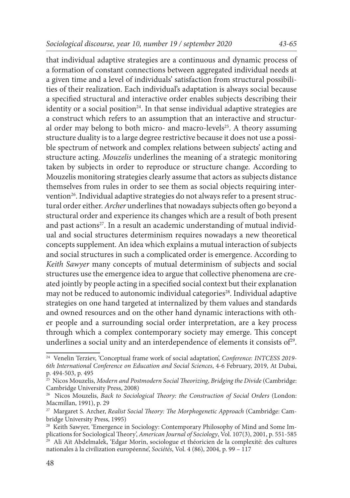that individual adaptive strategies are a continuous and dynamic process of a formation of constant connections between aggregated individual needs at a given time and a level of individuals' satisfaction from structural possibilities of their realization. Each individual's adaptation is always social because a specified structural and interactive order enables subjects describing their identity or a social position $24$ . In that sense individual adaptive strategies are a construct which refers to an assumption that an interactive and structural order may belong to both micro- and macro-levels<sup>25</sup>. A theory assuming structure duality is to a large degree restrictive because it does not use a possible spectrum of network and complex relations between subjects' acting and structure acting. *Mouzelis* underlines the meaning of a strategic monitoring taken by subjects in order to reproduce or structure change. According to Mouzelis monitoring strategies clearly assume that actors as subjects distance themselves from rules in order to see them as social objects requiring intervention<sup>26</sup>. Individual adaptive strategies do not always refer to a present struc-

tural order either. *Archer* underlines that nowadays subjects often go beyond a structural order and experience its changes which are a result of both present and past actions<sup>27</sup>. In a result an academic understanding of mutual individual and social structures determinism requires nowadays a new theoretical concepts supplement. An idea which explains a mutual interaction of subjects and social structures in such a complicated order is emergence. According to *Keith Sawyer* many concepts of mutual determinism of subjects and social structures use the emergence idea to argue that collective phenomena are created jointly by people acting in a specified social context but their explanation may not be reduced to autonomic individual categories<sup>28</sup>. Individual adaptive strategies on one hand targeted at internalized by them values and standards and owned resources and on the other hand dynamic interactions with other people and a surrounding social order interpretation, are a key process through which a complex contemporary society may emerge. This concept underlines a social unity and an interdependence of elements it consists of<sup>29</sup>.

<sup>24</sup> Venelin Terziev, 'Conceptual frame work of social adaptation', *Conference: INTCESS 2019- 6th International Conference on Education and Social Sciences*, 4-6 February, 2019, At Dubai, p. 494-503, p. 495

<sup>25</sup> Nicos Mouzelis, *Modern and Postmodern Social Theorizing*, *Bridging the Divide* (Cambridge: Cambridge University Press, 2008)

<sup>26</sup> Nicos Mouzelis, *Back to Sociological Theory: the Construction of Social Orders* (London: Macmillan, 1991), p. 29

<sup>27</sup> Margaret S. Archer, *Realist Social Theory: The Morphogenetic Approach* (Cambridge: Cambridge University Press, 1995)

<sup>&</sup>lt;sup>28</sup> Keith Sawyer, 'Emergence in Sociology: Contemporary Philosophy of Mind and Some Implications for Sociological Theory', *American Journal of Sociology*, Vol. 107(3), 2001, p. 551-585

<sup>&</sup>lt;sup>29</sup> Ali Aït Abdelmalek, 'Edgar Morin, sociologue et théoricien de la complexité: des cultures nationales à la civilization européenne', *Sociétés*, Vol. 4 (86), 2004, p. 99 – 117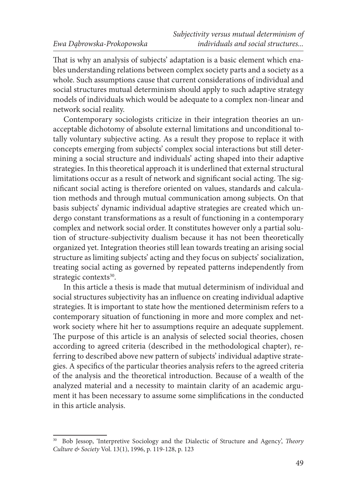That is why an analysis of subjects' adaptation is a basic element which enables understanding relations between complex society parts and a society as a whole. Such assumptions cause that current considerations of individual and social structures mutual determinism should apply to such adaptive strategy models of individuals which would be adequate to a complex non-linear and network social reality.

Contemporary sociologists criticize in their integration theories an unacceptable dichotomy of absolute external limitations and unconditional totally voluntary subjective acting. As a result they propose to replace it with concepts emerging from subjects' complex social interactions but still determining a social structure and individuals' acting shaped into their adaptive strategies. In this theoretical approach it is underlined that external structural limitations occur as a result of network and significant social acting. The significant social acting is therefore oriented on values, standards and calculation methods and through mutual communication among subjects. On that basis subjects' dynamic individual adaptive strategies are created which undergo constant transformations as a result of functioning in a contemporary complex and network social order. It constitutes however only a partial solution of structure-subjectivity dualism because it has not been theoretically organized yet. Integration theories still lean towards treating an arising social structure as limiting subjects' acting and they focus on subjects' socialization, treating social acting as governed by repeated patterns independently from strategic contexts<sup>30</sup>.

In this article a thesis is made that mutual determinism of individual and social structures subjectivity has an influence on creating individual adaptive strategies. It is important to state how the mentioned determinism refers to a contemporary situation of functioning in more and more complex and network society where hit her to assumptions require an adequate supplement. The purpose of this article is an analysis of selected social theories, chosen according to agreed criteria (described in the methodological chapter), referring to described above new pattern of subjects' individual adaptive strategies. A specifics of the particular theories analysis refers to the agreed criteria of the analysis and the theoretical introduction. Because of a wealth of the analyzed material and a necessity to maintain clarity of an academic argument it has been necessary to assume some simplifications in the conducted in this article analysis.

<sup>30</sup> Bob Jessop, 'Interpretive Sociology and the Dialectic of Structure and Agency', *Theory Culture & Society* Vol. 13(1), 1996, p. 119-128, p. 123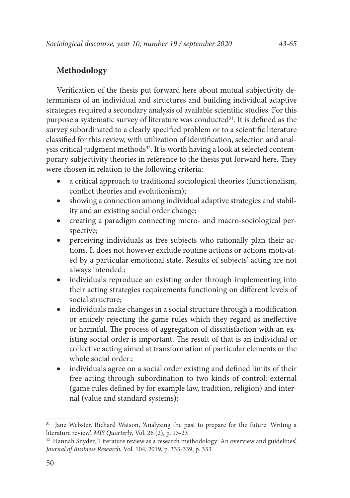#### **Methodology**

Verification of the thesis put forward here about mutual subjectivity determinism of an individual and structures and building individual adaptive strategies required a secondary analysis of available scientific studies. For this purpose a systematic survey of literature was conducted<sup>31</sup>. It is defined as the survey subordinated to a clearly specified problem or to a scientific literature classified for this review, with utilization of identification, selection and analysis critical judgment methods<sup>32</sup>. It is worth having a look at selected contemporary subjectivity theories in reference to the thesis put forward here. They were chosen in relation to the following criteria:

- a critical approach to traditional sociological theories (functionalism, conflict theories and evolutionism);
- showing a connection among individual adaptive strategies and stability and an existing social order change;
- • creating a paradigm connecting micro- and macro-sociological perspective;
- perceiving individuals as free subjects who rationally plan their actions. It does not however exclude routine actions or actions motivated by a particular emotional state. Results of subjects' acting are not always intended.;
- individuals reproduce an existing order through implementing into their acting strategies requirements functioning on different levels of social structure;
- individuals make changes in a social structure through a modification or entirely rejecting the game rules which they regard as ineffective or harmful. The process of aggregation of dissatisfaction with an existing social order is important. The result of that is an individual or collective acting aimed at transformation of particular elements or the whole social order.;
- • individuals agree on a social order existing and defined limits of their free acting through subordination to two kinds of control: external (game rules defined by for example law, tradition, religion) and internal (value and standard systems);

<sup>&</sup>lt;sup>31</sup> Jane Webster, Richard Watson, 'Analyzing the past to prepare for the future: Writing a literature review', *MIS Quarterly*, Vol. 26 (2), p. 13-23

<sup>&</sup>lt;sup>32</sup> Hannah Snyder, 'Literature review as a research methodology: An overview and guidelines', *Journal of Business Research*, Vol. 104, 2019, p. 333-339, p. 333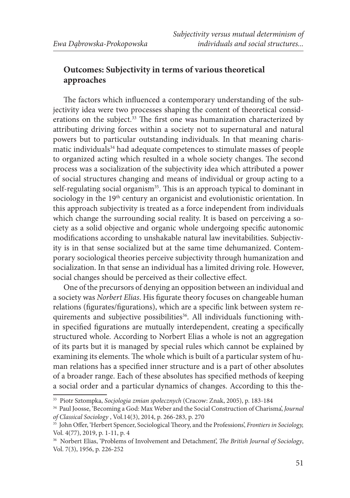## **Outcomes: Subjectivity in terms of various theoretical approaches**

The factors which influenced a contemporary understanding of the subjectivity idea were two processes shaping the content of theoretical considerations on the subject.<sup>33</sup> The first one was humanization characterized by attributing driving forces within a society not to supernatural and natural powers but to particular outstanding individuals. In that meaning charismatic individuals<sup>34</sup> had adequate competences to stimulate masses of people to organized acting which resulted in a whole society changes. The second process was a socialization of the subjectivity idea which attributed a power of social structures changing and means of individual or group acting to a self-regulating social organism<sup>35</sup>. This is an approach typical to dominant in sociology in the 19<sup>th</sup> century an organicist and evolutionistic orientation. In this approach subjectivity is treated as a force independent from individuals which change the surrounding social reality. It is based on perceiving a society as a solid objective and organic whole undergoing specific autonomic modifications according to unshakable natural law inevitabilities. Subjectivity is in that sense socialized but at the same time dehumanized. Contemporary sociological theories perceive subjectivity through humanization and socialization. In that sense an individual has a limited driving role. However, social changes should be perceived as their collective effect.

One of the precursors of denying an opposition between an individual and a society was *Norbert Elias*. His figurate theory focuses on changeable human relations (figurates/figurations), which are a specific link between system requirements and subjective possibilities<sup>36</sup>. All individuals functioning within specified figurations are mutually interdependent, creating a specifically structured whole. According to Norbert Elias a whole is not an aggregation of its parts but it is managed by special rules which cannot be explained by examining its elements. The whole which is built of a particular system of human relations has a specified inner structure and is a part of other absolutes of a broader range. Each of these absolutes has specified methods of keeping a social order and a particular dynamics of changes. According to this the-

<sup>33</sup> Piotr Sztompka, *Socjologia zmian społecznych* (Cracow: Znak, 2005), p. 183-184

<sup>34</sup> Paul Joosse, 'Becoming a God: Max Weber and the Social Construction of Charisma', *Journal of Classical Sociology* , Vol.14(3), 2014, p. 266-283, p. 270

<sup>35</sup> John Offer, 'Herbert Spencer, Sociological Theory, and the Professions', *Frontiers in Sociology,*  Vol. 4(77), 2019, p. 1-11, p. 4

<sup>36</sup> Norbert Elias, 'Problems of Involvement and Detachment', *The British Journal of Sociology*, Vol. 7(3), 1956, p. 226-252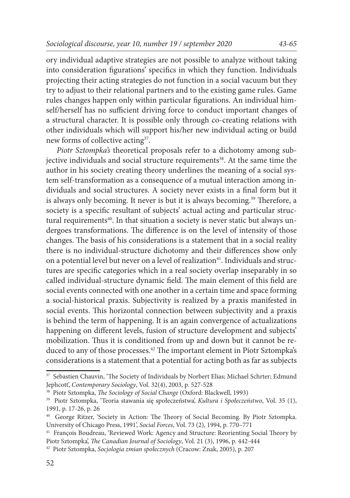ory individual adaptive strategies are not possible to analyze without taking into consideration figurations' specifics in which they function. Individuals projecting their acting strategies do not function in a social vacuum but they try to adjust to their relational partners and to the existing game rules. Game rules changes happen only within particular figurations. An individual himself/herself has no sufficient driving force to conduct important changes of a structural character. It is possible only through co-creating relations with other individuals which will support his/her new individual acting or build new forms of collective acting<sup>37</sup>.

*Piotr Sztompka's* theoretical proposals refer to a dichotomy among subjective individuals and social structure requirements<sup>38</sup>. At the same time the author in his society creating theory underlines the meaning of a social system self-transformation as a consequence of a mutual interaction among individuals and social structures. A society never exists in a final form but it is always only becoming. It never is but it is always becoming.<sup>39</sup> Therefore, a society is a specific resultant of subjects' actual acting and particular structural requirements<sup>40</sup>. In that situation a society is never static but always undergoes transformations. The difference is on the level of intensity of those changes. The basis of his considerations is a statement that in a social reality there is no individual-structure dichotomy and their differences show only on a potential level but never on a level of realization<sup>41</sup>. Individuals and structures are specific categories which in a real society overlap inseparably in so called individual-structure dynamic field. The main element of this field are social events connected with one another in a certain time and space forming a social-historical praxis. Subjectivity is realized by a praxis manifested in social events. This horizontal connection between subjectivity and a praxis is behind the term of happening. It is an again convergence of actualizations happening on different levels, fusion of structure development and subjects' mobilization. Thus it is conditioned from up and down but it cannot be reduced to any of those processes.42 The important element in Piotr Sztompka's considerations is a statement that a potential for acting both as far as subjects

<sup>&</sup>lt;sup>37</sup> Sebastien Chauvin, 'The Society of Individuals by Norbert Elias; Michael Schrter; Edmund Jephcott', *Contemporary Sociology*, Vol. 32(4), 2003, p. 527-528

<sup>38</sup> Piotr Sztompka, *The Sociology of Social Change* (Oxford: Blackwell, 1993)

<sup>39</sup> Piotr Sztompka, 'Teoria stawania się społeczeństwa', *Kultura i Społeczeństwo*, Vol. 35 (1), 1991, p. 17-26, p. 26

<sup>40</sup> George Ritzer, 'Society in Action: The Theory of Social Becoming. By Piotr Sztompka. University of Chicago Press, 1991', *Social Forces*, Vol. 73 (2), 1994, p. 770–771

<sup>41</sup> François Boudreau, 'Reviewed Work: Agency and Structure: Reorienting Social Theory by Piotr Sztompka', *The Canadian Journal of Sociology*, Vol. 21 (3), 1996, p. 442-444

<sup>42</sup> Piotr Sztompka, *Socjologia zmian społecznych* (Cracow: Znak, 2005), p. 207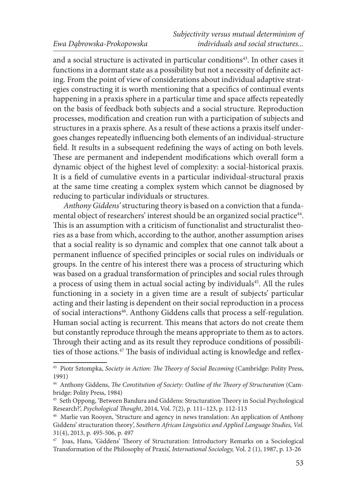and a social structure is activated in particular conditions<sup>43</sup>. In other cases it functions in a dormant state as a possibility but not a necessity of definite acting. From the point of view of considerations about individual adaptive strategies constructing it is worth mentioning that a specifics of continual events happening in a praxis sphere in a particular time and space affects repeatedly on the basis of feedback both subjects and a social structure. Reproduction processes, modification and creation run with a participation of subjects and structures in a praxis sphere. As a result of these actions a praxis itself undergoes changes repeatedly influencing both elements of an individual-structure field. It results in a subsequent redefining the ways of acting on both levels. These are permanent and independent modifications which overall form a dynamic object of the highest level of complexity: a social-historical praxis. It is a field of cumulative events in a particular individual-structural praxis at the same time creating a complex system which cannot be diagnosed by reducing to particular individuals or structures.

*Anthony Giddens'* structuring theory is based on a conviction that a fundamental object of researchers' interest should be an organized social practice<sup>44</sup>. This is an assumption with a criticism of functionalist and structuralist theories as a base from which, according to the author, another assumption arises that a social reality is so dynamic and complex that one cannot talk about a permanent influence of specified principles or social rules on individuals or groups. In the centre of his interest there was a process of structuring which was based on a gradual transformation of principles and social rules through a process of using them in actual social acting by individuals<sup>45</sup>. All the rules functioning in a society in a given time are a result of subjects' particular acting and their lasting is dependent on their social reproduction in a process of social interactions<sup>46</sup>. Anthony Giddens calls that process a self-regulation. Human social acting is recurrent. This means that actors do not create them but constantly reproduce through the means appropriate to them as to actors. Through their acting and as its result they reproduce conditions of possibilities of those actions.<sup>47</sup> The basis of individual acting is knowledge and reflex-

<sup>43</sup> Piotr Sztompka, *Society in Action: The Theory of Social Becoming* (Cambridge: Polity Press, 1991)

<sup>44</sup> Anthony Giddens, *The Constitution of Society: Outline of the Theory of Structuration* (Cambridge: Polity Press, 1984)

<sup>45</sup> Seth Oppong, 'Between Bandura and Giddens: Structuration Theory in Social Psychological Research?', *Psychological Thought*, 2014, Vol. 7(2), p. 111–123, p. 112-113

<sup>46</sup> Marlie van Rooyen, 'Structure and agency in news translation: An application of Anthony Giddens' structuration theory', *Southern African Linguistics and Applied Language Studies, Vol.* 31(4), 2013, p. 495-506, p. 497

<sup>47</sup> Joas, Hans, 'Giddens' Theory of Structuration: Introductory Remarks on a Sociological Transformation of the Philosophy of Praxis', *International Sociology,* Vol. 2 (1), 1987, p. 13-26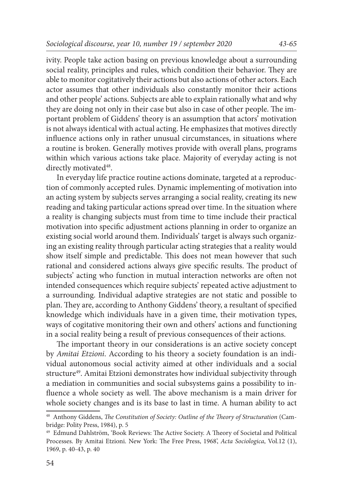ivity. People take action basing on previous knowledge about a surrounding

social reality, principles and rules, which condition their behavior. They are able to monitor cogitatively their actions but also actions of other actors. Each actor assumes that other individuals also constantly monitor their actions and other people' actions. Subjects are able to explain rationally what and why they are doing not only in their case but also in case of other people. The important problem of Giddens' theory is an assumption that actors' motivation is not always identical with actual acting. He emphasizes that motives directly influence actions only in rather unusual circumstances, in situations where a routine is broken. Generally motives provide with overall plans, programs within which various actions take place. Majority of everyday acting is not directly motivated<sup>48</sup>.

In everyday life practice routine actions dominate, targeted at a reproduction of commonly accepted rules. Dynamic implementing of motivation into an acting system by subjects serves arranging a social reality, creating its new reading and taking particular actions spread over time. In the situation where a reality is changing subjects must from time to time include their practical motivation into specific adjustment actions planning in order to organize an existing social world around them. Individuals' target is always such organizing an existing reality through particular acting strategies that a reality would show itself simple and predictable. This does not mean however that such rational and considered actions always give specific results. The product of subjects' acting who function in mutual interaction networks are often not intended consequences which require subjects' repeated active adjustment to a surrounding. Individual adaptive strategies are not static and possible to plan. They are, according to Anthony Giddens' theory, a resultant of specified knowledge which individuals have in a given time, their motivation types, ways of cogitative monitoring their own and others' actions and functioning in a social reality being a result of previous consequences of their actions.

The important theory in our considerations is an active society concept by *Amitai Etzioni*. According to his theory a society foundation is an individual autonomous social activity aimed at other individuals and a social structure<sup>49</sup>. Amitai Etzioni demonstrates how individual subjectivity through a mediation in communities and social subsystems gains a possibility to influence a whole society as well. The above mechanism is a main driver for whole society changes and is its base to last in time. A human ability to act

<sup>48</sup> Anthony Giddens, *The Constitution of Society: Outline of the Theory of Structuration* (Cambridge: Polity Press, 1984), p. 5

<sup>49</sup> Edmund Dahlström, 'Book Reviews: The Active Society. A Theory of Societal and Political Processes. By Amitai Etzioni. New York: The Free Press, 1968', *Acta Sociologica*, Vol.12 (1), 1969, p. 40-43, p. 40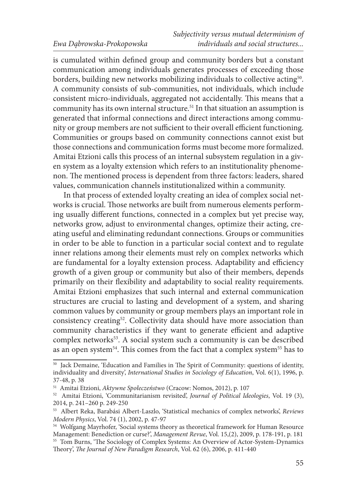is cumulated within defined group and community borders but a constant communication among individuals generates processes of exceeding those borders, building new networks mobilizing individuals to collective acting<sup>50</sup>. A community consists of sub-communities, not individuals, which include consistent micro-individuals, aggregated not accidentally. This means that a community has its own internal structure.51 In that situation an assumption is generated that informal connections and direct interactions among community or group members are not sufficient to their overall efficient functioning. Communities or groups based on community connections cannot exist but those connections and communication forms must become more formalized. Amitai Etzioni calls this process of an internal subsystem regulation in a given system as a loyalty extension which refers to an institutionality phenomenon. The mentioned process is dependent from three factors: leaders, shared values, communication channels institutionalized within a community.

In that process of extended loyalty creating an idea of complex social networks is crucial. Those networks are built from numerous elements performing usually different functions, connected in a complex but yet precise way, networks grow, adjust to environmental changes, optimize their acting, creating useful and eliminating redundant connections. Groups or communities in order to be able to function in a particular social context and to regulate inner relations among their elements must rely on complex networks which are fundamental for a loyalty extension process. Adaptability and efficiency growth of a given group or community but also of their members, depends primarily on their flexibility and adaptability to social reality requirements. Amitai Etzioni emphasizes that such internal and external communication structures are crucial to lasting and development of a system, and sharing common values by community or group members plays an important role in consistency creating<sup>52</sup>. Collectivity data should have more association than community characteristics if they want to generate efficient and adaptive complex networks<sup>53</sup>. A social system such a community is can be described as an open system<sup>54</sup>. This comes from the fact that a complex system<sup>55</sup> has to

<sup>50</sup> Jack Demaine, 'Education and Families in The Spirit of Community: questions of identity, individuality and diversity', *International Studies in Sociology of Education*, Vol. 6(1), 1996, p. 37-48, p. 38

<sup>51</sup> Amitai Etzioni, *Aktywne Społeczeństwo* (Cracow: Nomos, 2012), p. 107

<sup>52</sup> Amitai Etzioni, 'Communitarianism revisited', *Journal of Political Ideologies*, Vol. 19 (3), 2014, p. 241–260 p. 249-250

<sup>53</sup> Albert Reka, Barabási Albert-Laszlo, 'Statistical mechanics of complex networks', *Reviews Modern Physics*, Vol. 74 (1), 2002, p. 47-97

<sup>54</sup> Wolfgang Mayrhofer, 'Social systems theory as theoretical framework for Human Resource Management: Benediction or curse?', *Management Revue*, Vol. 15,(2), 2009, p. 178-191, p. 181 <sup>55</sup> Tom Burns, 'The Sociology of Complex Systems: An Overview of Actor-System-Dynamics Theory', *The Journal of New Paradigm Research*, Vol. 62 (6), 2006, p. 411-440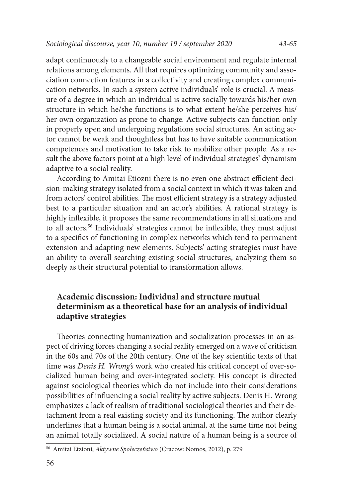adapt continuously to a changeable social environment and regulate internal relations among elements. All that requires optimizing community and association connection features in a collectivity and creating complex communication networks. In such a system active individuals' role is crucial. A measure of a degree in which an individual is active socially towards his/her own structure in which he/she functions is to what extent he/she perceives his/ her own organization as prone to change. Active subjects can function only in properly open and undergoing regulations social structures. An acting actor cannot be weak and thoughtless but has to have suitable communication competences and motivation to take risk to mobilize other people. As a result the above factors point at a high level of individual strategies' dynamism adaptive to a social reality.

According to Amitai Etiozni there is no even one abstract efficient decision-making strategy isolated from a social context in which it was taken and from actors' control abilities. The most efficient strategy is a strategy adjusted best to a particular situation and an actor's abilities. A rational strategy is highly inflexible, it proposes the same recommendations in all situations and to all actors.<sup>56</sup> Individuals' strategies cannot be inflexible, they must adjust to a specifics of functioning in complex networks which tend to permanent extension and adapting new elements. Subjects' acting strategies must have an ability to overall searching existing social structures, analyzing them so deeply as their structural potential to transformation allows.

#### **Academic discussion: Individual and structure mutual determinism as a theoretical base for an analysis of individual adaptive strategies**

Theories connecting humanization and socialization processes in an aspect of driving forces changing a social reality emerged on a wave of criticism in the 60s and 70s of the 20th century. One of the key scientific texts of that time was *Denis H. Wrong's* work who created his critical concept of over-socialized human being and over-integrated society. His concept is directed against sociological theories which do not include into their considerations possibilities of influencing a social reality by active subjects. Denis H. Wrong emphasizes a lack of realism of traditional sociological theories and their detachment from a real existing society and its functioning. The author clearly underlines that a human being is a social animal, at the same time not being an animal totally socialized. A social nature of a human being is a source of

<sup>56</sup> Amitai Etzioni, *Aktywne Społeczeństwo* (Cracow: Nomos, 2012), p. 279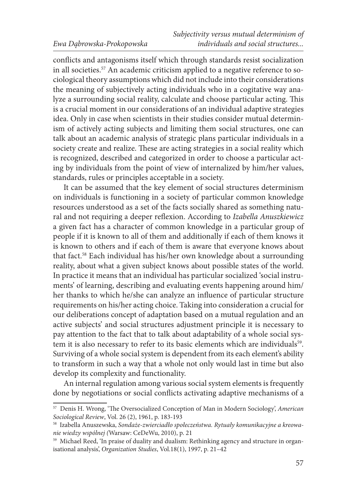conflicts and antagonisms itself which through standards resist socialization in all societies.57 An academic criticism applied to a negative reference to sociological theory assumptions which did not include into their considerations the meaning of subjectively acting individuals who in a cogitative way analyze a surrounding social reality, calculate and choose particular acting. This is a crucial moment in our considerations of an individual adaptive strategies idea. Only in case when scientists in their studies consider mutual determinism of actively acting subjects and limiting them social structures, one can talk about an academic analysis of strategic plans particular individuals in a society create and realize. These are acting strategies in a social reality which is recognized, described and categorized in order to choose a particular acting by individuals from the point of view of internalized by him/her values, standards, rules or principles acceptable in a society.

It can be assumed that the key element of social structures determinism on individuals is functioning in a society of particular common knowledge resources understood as a set of the facts socially shared as something natural and not requiring a deeper reflexion. According to *Izabella Anuszkiewicz* a given fact has a character of common knowledge in a particular group of people if it is known to all of them and additionally if each of them knows it is known to others and if each of them is aware that everyone knows about that fact.58 Each individual has his/her own knowledge about a surrounding reality, about what a given subject knows about possible states of the world. In practice it means that an individual has particular socialized 'social instruments' of learning, describing and evaluating events happening around him/ her thanks to which he/she can analyze an influence of particular structure requirements on his/her acting choice. Taking into consideration a crucial for our deliberations concept of adaptation based on a mutual regulation and an active subjects' and social structures adjustment principle it is necessary to pay attention to the fact that to talk about adaptability of a whole social system it is also necessary to refer to its basic elements which are individuals<sup>59</sup>. Surviving of a whole social system is dependent from its each element's ability to transform in such a way that a whole not only would last in time but also develop its complexity and functionality.

An internal regulation among various social system elements is frequently done by negotiations or social conflicts activating adaptive mechanisms of a

<sup>57</sup> Denis H. Wrong, 'The Oversocialized Conception of Man in Modern Sociology', *American Sociological Review*, Vol. 26 (2), 1961, p. 183-193

<sup>58</sup> Izabella Anuszewska, *Sondaże-zwierciadło społeczeństwa. Rytuały komunikacyjne a kreowanie wiedzy wspólnej (*Warsaw: CeDeWu, 2010), p. 21

<sup>&</sup>lt;sup>59</sup> Michael Reed, 'In praise of duality and dualism: Rethinking agency and structure in organisational analysis', *Organization Studies*, Vol.18(1), 1997, p. 21–42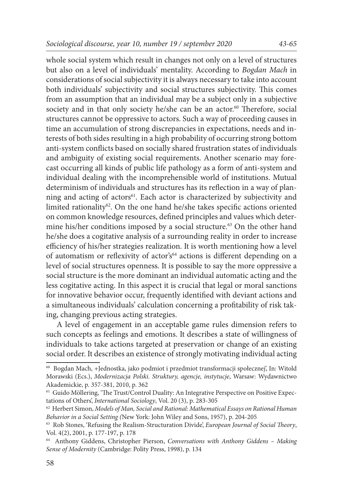whole social system which result in changes not only on a level of structures but also on a level of individuals' mentality. According to *Bogdan Mach* in considerations of social subjectivity it is always necessary to take into account both individuals' subjectivity and social structures subjectivity. This comes from an assumption that an individual may be a subject only in a subjective society and in that only society he/she can be an actor.<sup>60</sup> Therefore, social structures cannot be oppressive to actors. Such a way of proceeding causes in time an accumulation of strong discrepancies in expectations, needs and interests of both sides resulting in a high probability of occurring strong bottom anti-system conflicts based on socially shared frustration states of individuals and ambiguity of existing social requirements. Another scenario may forecast occurring all kinds of public life pathology as a form of anti-system and individual dealing with the incomprehensible world of institutions. Mutual determinism of individuals and structures has its reflection in a way of planning and acting of actors<sup>61</sup>. Each actor is characterized by subjectivity and

limited rationality<sup>62</sup>. On the one hand he/she takes specific actions oriented on common knowledge resources, defined principles and values which determine his/her conditions imposed by a social structure.<sup>63</sup> On the other hand he/she does a cogitative analysis of a surrounding reality in order to increase efficiency of his/her strategies realization. It is worth mentioning how a level of automatism or reflexivity of actor's<sup>64</sup> actions is different depending on a level of social structures openness. It is possible to say the more oppressive a social structure is the more dominant an individual automatic acting and the less cogitative acting. In this aspect it is crucial that legal or moral sanctions for innovative behavior occur, frequently identified with deviant actions and a simultaneous individuals' calculation concerning a profitability of risk taking, changing previous acting strategies.

A level of engagement in an acceptable game rules dimension refers to such concepts as feelings and emotions. It describes a state of willingness of individuals to take actions targeted at preservation or change of an existing social order. It describes an existence of strongly motivating individual acting

<sup>60</sup> Bogdan Mach, +Jednostka, jako podmiot i przedmiot transformacji społecznej', In: Witold Morawski (Ecs.), *Modernizacja Polski. Struktury, agencje, instytucje*, Warsaw: Wydawnictwo Akademickie, p. 357-381, 2010, p. 362

<sup>&</sup>lt;sup>61</sup> Guido Möllering, 'The Trust/Control Duality: An Integrative Perspective on Positive Expectations of Others', *International Sociology*, Vol. 20 (3), p. 283-305

<sup>62</sup> Herbert Simon, *Models of Man, Social and Rational: Mathematical Essays on Rational Human Behavior in a Social Setting (*New York: John Wiley and Sons, 1957), p. 204-205

<sup>63</sup> Rob Stones, 'Refusing the Realism-Structuration Divide', *European Journal of Social Theory*, Vol. 4(2), 2001, p. 177-197, p. 178

<sup>64</sup> Anthony Giddens, Christopher Pierson, *Conversations with Anthony Giddens – Making Sense of Modernity* (Cambridge: Polity Press, 1998), p. 134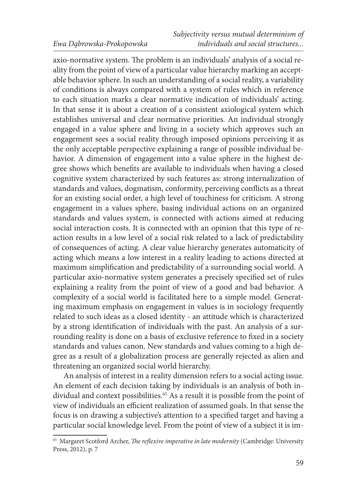axio-normative system. The problem is an individuals' analysis of a social reality from the point of view of a particular value hierarchy marking an acceptable behavior sphere. In such an understanding of a social reality, a variability of conditions is always compared with a system of rules which in reference to each situation marks a clear normative indication of individuals' acting. In that sense it is about a creation of a consistent axiological system which establishes universal and clear normative priorities. An individual strongly engaged in a value sphere and living in a society which approves such an engagement sees a social reality through imposed opinions perceiving it as the only acceptable perspective explaining a range of possible individual behavior. A dimension of engagement into a value sphere in the highest degree shows which benefits are available to individuals when having a closed cognitive system characterized by such features as: strong internalization of standards and values, dogmatism, conformity, perceiving conflicts as a threat for an existing social order, a high level of touchiness for criticism. A strong engagement in a values sphere, basing individual actions on an organized standards and values system, is connected with actions aimed at reducing social interaction costs. It is connected with an opinion that this type of reaction results in a low level of a social risk related to a lack of predictability of consequences of acting. A clear value hierarchy generates automaticity of acting which means a low interest in a reality leading to actions directed at maximum simplification and predictability of a surrounding social world. A particular axio-normative system generates a precisely specified set of rules explaining a reality from the point of view of a good and bad behavior. A complexity of a social world is facilitated here to a simple model. Generating maximum emphasis on engagement in values is in sociology frequently related to such ideas as a closed identity - an attitude which is characterized by a strong identification of individuals with the past. An analysis of a surrounding reality is done on a basis of exclusive reference to fixed in a society standards and values canon. New standards and values coming to a high degree as a result of a globalization process are generally rejected as alien and threatening an organized social world hierarchy.

An analysis of interest in a reality dimension refers to a social acting issue. An element of each decision taking by individuals is an analysis of both individual and context possibilities.<sup>65</sup> As a result it is possible from the point of view of individuals an efficient realization of assumed goals. In that sense the focus is on drawing a subjective's attention to a specified target and having a particular social knowledge level. From the point of view of a subject it is im-

<sup>65</sup> Margaret Scotford Archer, *The reflexive imperative in late modernity* (Cambridge: University Press, 2012), p. 7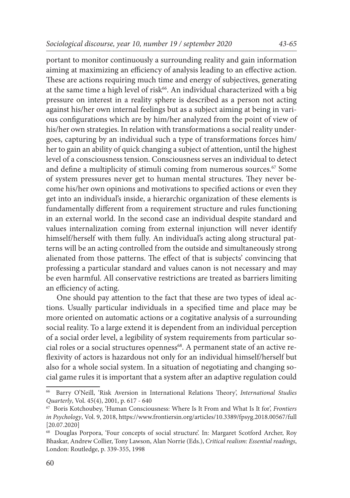portant to monitor continuously a surrounding reality and gain information aiming at maximizing an efficiency of analysis leading to an effective action. These are actions requiring much time and energy of subjectives, generating at the same time a high level of risk<sup>66</sup>. An individual characterized with a big pressure on interest in a reality sphere is described as a person not acting against his/her own internal feelings but as a subject aiming at being in various configurations which are by him/her analyzed from the point of view of his/her own strategies. In relation with transformations a social reality undergoes, capturing by an individual such a type of transformations forces him/ her to gain an ability of quick changing a subject of attention, until the highest level of a consciousness tension. Consciousness serves an individual to detect and define a multiplicity of stimuli coming from numerous sources.<sup>67</sup> Some of system pressures never get to human mental structures. They never become his/her own opinions and motivations to specified actions or even they get into an individual's inside, a hierarchic organization of these elements is fundamentally different from a requirement structure and rules functioning in an external world. In the second case an individual despite standard and values internalization coming from external injunction will never identify himself/herself with them fully. An individual's acting along structural patterns will be an acting controlled from the outside and simultaneously strong alienated from those patterns. The effect of that is subjects' convincing that professing a particular standard and values canon is not necessary and may be even harmful. All conservative restrictions are treated as barriers limiting an efficiency of acting.

One should pay attention to the fact that these are two types of ideal actions. Usually particular individuals in a specified time and place may be more oriented on automatic actions or a cogitative analysis of a surrounding social reality. To a large extend it is dependent from an individual perception of a social order level, a legibility of system requirements from particular social roles or a social structures openness<sup>68</sup>. A permanent state of an active reflexivity of actors is hazardous not only for an individual himself/herself but also for a whole social system. In a situation of negotiating and changing social game rules it is important that a system after an adaptive regulation could

<sup>66</sup> Barry O'Neill, 'Risk Aversion in International Relations Theory', *International Studies Quarterly*, Vol. 45(4), 2001, p. 617 - 640

<sup>67</sup> Boris Kotchoubey, 'Human Consciousness: Where Is It From and What Is It for', *Frontiers in Psychology*, Vol. 9, 2018, https://www.frontiersin.org/articles/10.3389/fpsyg.2018.00567/full [20.07.2020]

<sup>68</sup> Douglas Porpora, 'Four concepts of social structure'. In: Margaret Scotford Archer, Roy Bhaskar, Andrew Collier, Tony Lawson, Alan Norrie (Eds.), *Critical realism: Essential readings*, London: Routledge, p. 339-355, 1998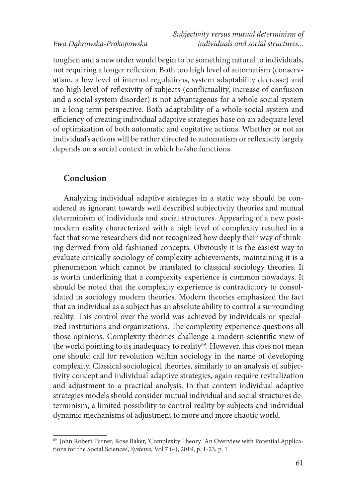toughen and a new order would begin to be something natural to individuals, not requiring a longer reflexion. Both too high level of automatism (conservatism, a low level of internal regulations, system adaptability decrease) and too high level of reflexivity of subjects (conflictuality, increase of confusion and a social system disorder) is not advantageous for a whole social system in a long term perspective. Both adaptability of a whole social system and efficiency of creating individual adaptive strategies base on an adequate level of optimization of both automatic and cogitative actions. Whether or not an individual's actions will be rather directed to automatism or reflexivity largely depends on a social context in which he/she functions.

#### **Conclusion**

Analyzing individual adaptive strategies in a static way should be considered as ignorant towards well described subjectivity theories and mutual determinism of individuals and social structures. Appearing of a new postmodern reality characterized with a high level of complexity resulted in a fact that some researchers did not recognized how deeply their way of thinking derived from old-fashioned concepts. Obviously it is the easiest way to evaluate critically sociology of complexity achievements, maintaining it is a phenomenon which cannot be translated to classical sociology theories. It is worth underlining that a complexity experience is common nowadays. It should be noted that the complexity experience is contradictory to consolidated in sociology modern theories. Modern theories emphasized the fact that an individual as a subject has an absolute ability to control a surrounding reality. This control over the world was achieved by individuals or specialized institutions and organizations. The complexity experience questions all those opinions. Complexity theories challenge a modern scientific view of the world pointing to its inadequacy to reality<sup>69</sup>. However, this does not mean one should call for revolution within sociology in the name of developing complexity. Classical sociological theories, similarly to an analysis of subjectivity concept and individual adaptive strategies, again require revitalization and adjustment to a practical analysis. In that context individual adaptive strategies models should consider mutual individual and social structures determinism, a limited possibility to control reality by subjects and individual dynamic mechanisms of adjustment to more and more chaotic world.

<sup>69</sup> John Robert Turner, Rose Baker, 'Complexity Theory: An Overview with Potential Applications for the Social Sciences', *Systems*, Vol 7 (4), 2019, p. 1-23, p. 1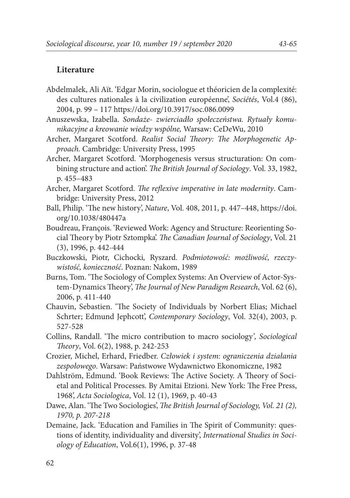#### **Literature**

- Abdelmalek, Ali Aït. 'Edgar Morin, sociologue et théoricien de la complexité: des cultures nationales à la civilization européenne', *Sociétés*, Vol.4 (86), 2004, p. 99 – 117 https://doi.org/10.3917/soc.086.0099
- Anuszewska, Izabella. *Sondaże- zwierciadło społeczeństwa. Rytuały komunikacyjne a kreowanie wiedzy wspólne,* Warsaw: CeDeWu, 2010
- Archer, Margaret Scotford. *Realist Social Theory: The Morphogenetic Approach.* Cambridge: University Press, 1995
- Archer, Margaret Scotford. 'Morphogenesis versus structuration: On combining structure and action'. *The British Journal of Sociology*. Vol. 33, 1982, p. 455–483
- Archer, Margaret Scotford. *The reflexive imperative in late modernity*. Cambridge: University Press, 2012
- Ball, Philip. 'The new history', *Nature*, Vol. 408, 2011, p. 447–448, https://doi. org/10.1038/480447a
- Boudreau, François. 'Reviewed Work: Agency and Structure: Reorienting Social Theory by Piotr Sztompka'. *The Canadian Journal of Sociology*, Vol. 21 (3), 1996, p. 442-444
- Buczkowski, Piotr, Cichocki*,* Ryszard. *Podmiotowość: możliwość, rzeczywistość, konieczność*. Poznan: Nakom, 1989
- Burns, Tom. 'The Sociology of Complex Systems: An Overview of Actor-System-Dynamics Theory', *The Journal of New Paradigm Research*, Vol. 62 (6), 2006, p. 411-440
- Chauvin, Sebastien. 'The Society of Individuals by Norbert Elias; Michael Schrter; Edmund Jephcott', *Contemporary Sociology*, Vol. 32(4), 2003, p. 527-528
- Collins, Randall. 'The micro contribution to macro sociology*', Sociological Theory*, Vol. 6(2), 1988, p. 242-253
- Crozier, Michel, Erhard, Friedber. *Człowiek i system: ograniczenia działania zespołowego*. Warsaw: Państwowe Wydawnictwo Ekonomiczne, 1982
- Dahlström, Edmund. 'Book Reviews: The Active Society. A Theory of Societal and Political Processes. By Amitai Etzioni. New York: The Free Press, 1968', *Acta Sociologica*, Vol. 12 (1), 1969, p. 40-43
- Dawe, Alan. 'The Two Sociologies', *The British Journal of Sociology, Vol. 21 (2), 1970, p. 207-218*
- Demaine, Jack. 'Education and Families in The Spirit of Community: questions of identity, individuality and diversity', *International Studies in Sociology of Education*, Vol.6(1), 1996, p. 37-48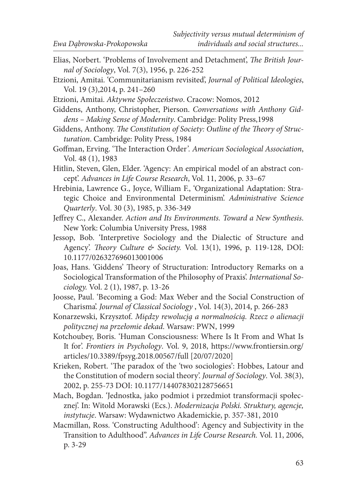- Elias, Norbert. 'Problems of Involvement and Detachment', *The British Journal of Sociology*, Vol. 7(3), 1956, p. 226-252
- Etzioni, Amitai. 'Communitarianism revisited', *Journal of Political Ideologies*, Vol. 19 (3),2014, p. 241–260
- Etzioni, Amitai. *Aktywne Społeczeństwo*. Cracow: Nomos, 2012
- Giddens, Anthony, Christopher, Pierson. *Conversations with Anthony Giddens – Making Sense of Modernity*. Cambridge: Polity Press,1998
- Giddens, Anthony. *The Constitution of Society: Outline of the Theory of Structuration*. Cambridge: Polity Press, 1984
- Goffman, Erving. 'The Interaction Order*'. American Sociological Association*, Vol. 48 (1), 1983
- Hitlin, Steven, Glen, Elder. 'Agency: An empirical model of an abstract concept'. *Advances in Life Course Research*, Vol. 11, 2006, p. 33–67
- Hrebinia, Lawrence G., Joyce, William F., 'Organizational Adaptation: Strategic Choice and Environmental Determinism'. *Administrative Science Quarterly*. Vol. 30 (3), 1985, p. 336-349
- Jeffrey C., Alexander. *Action and Its Environments. Toward a New Synthesis*. New York: Columbia University Press, 1988
- Jessop, Bob. 'Interpretive Sociology and the Dialectic of Structure and Agency'. *Theory Culture & Society.* Vol. 13(1), 1996, p. 119-128, DOI: 10.1177/026327696013001006
- Joas, Hans. 'Giddens' Theory of Structuration: Introductory Remarks on a Sociological Transformation of the Philosophy of Praxis'. *International Sociology.* Vol. 2 (1), 1987, p. 13-26
- Joosse, Paul. 'Becoming a God: Max Weber and the Social Construction of Charisma'. *Journal of Classical Sociology* , Vol. 14(3), 2014, p. 266-283
- Konarzewski, Krzysztof. *Między rewolucją a normalnością. Rzecz o alienacji politycznej na przełomie dekad*. Warsaw: PWN, 1999
- Kotchoubey, Boris. 'Human Consciousness: Where Is It From and What Is It for'. *Frontiers in Psychology*. Vol. 9, 2018, https://www.frontiersin.org/ articles/10.3389/fpsyg.2018.00567/full [20/07/2020]
- Krieken, Robert. 'The paradox of the 'two sociologies': Hobbes, Latour and the Constitution of modern social theory'. *Journal of Sociology*. Vol. 38(3), 2002, p. 255‐73 DOI: 10.1177/144078302128756651
- Mach, Bogdan. 'Jednostka, jako podmiot i przedmiot transformacji społecznej'. In: Witold Morawski (Ecs.). *Modernizacja Polski. Struktury, agencje, instytucje*. Warsaw: Wydawnictwo Akademickie, p. 357-381, 2010
- Macmillan, Ross. 'Constructing Adulthood': Agency and Subjectivity in the Transition to Adulthood". *Advances in Life Course Research.* Vol. 11, 2006, p. 3-29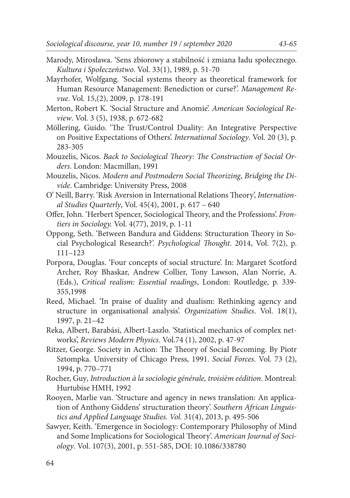- Marody, Mirosława. 'Sens zbiorowy a stabilność i zmiana ładu społecznego. *Kultura i Społeczeństwo*. Vol. 33(1), 1989, p. 51-70
- Mayrhofer, Wolfgang. 'Social systems theory as theoretical framework for Human Resource Management: Benediction or curse?'. *Management Revue*. Vol. 15,(2), 2009, p. 178-191
- Merton, Robert K. 'Social Structure and Anomie'. *American Sociological Review*. Vol. 3 (5), 1938, p. 672-682
- Möllering, Guido. 'The Trust/Control Duality: An Integrative Perspective on Positive Expectations of Others'. *International Sociology*. Vol. 20 (3), p. 283-305
- Mouzelis, Nicos. *Back to Sociological Theory: The Construction of Social Orders*. London: Macmillan, 1991
- Mouzelis, Nicos. *Modern and Postmodern Social Theorizing*, *Bridging the Divide*. Cambridge: University Press, 2008
- O' Neill, Barry. 'Risk Aversion in International Relations Theory', *International Studies Quarterly*, Vol. 45(4), 2001, p. 617 – 640
- Offer, John. 'Herbert Spencer, Sociological Theory, and the Professions'. *Frontiers in Sociology.* Vol. 4(77), 2019, p. 1-11
- Oppong, Seth. 'Between Bandura and Giddens: Structuration Theory in Social Psychological Research?'. *Psychological Thought*. 2014, Vol. 7(2), p. 111–123
- Porpora, Douglas. 'Four concepts of social structure'. In: Margaret Scotford Archer, Roy Bhaskar, Andrew Collier, Tony Lawson, Alan Norrie, A. (Eds.), *Critical realism: Essential readings*, London: Routledge, p. 339- 355,1998
- Reed, Michael. 'In praise of duality and dualism: Rethinking agency and structure in organisational analysis'. *Organization Studies*. Vol. 18(1), 1997, p. 21–42
- Reka, Albert, Barabási, Albert-Laszlo. 'Statistical mechanics of complex networks', *Reviews Modern Physics*. Vol.74 (1), 2002, p. 47-97
- Ritzer, George. Society in Action: The Theory of Social Becoming. By Piotr Sztompka. University of Chicago Press, 1991. *Social Forces*. Vol. 73 (2), 1994, p. 770–771
- Rocher, Guy*, Introduction à la sociologie générale, troisièm eédition*. Montreal: Hurtubise HMH, 1992
- Rooyen, Marlie van. 'Structure and agency in news translation: An application of Anthony Giddens' structuration theory'. *Southern African Linguistics and Applied Language Studies. Vol.* 31(4), 2013, p. 495-506
- Sawyer, Keith. 'Emergence in Sociology: Contemporary Philosophy of Mind and Some Implications for Sociological Theory'. *American Journal of Sociology*. Vol. 107(3), 2001, p. 551-585, DOI: 10.1086/338780